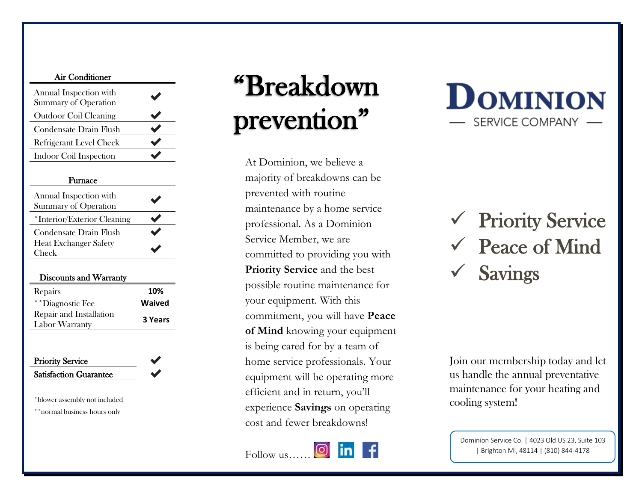|--|

| Annual Inspection with<br><b>Summary of Operation</b> | $\blacktriangledown$ |
|-------------------------------------------------------|----------------------|
| <b>Outdoor Coil Cleaning</b>                          |                      |
| Condensate Drain Flush                                | $\blacktriangledown$ |
| <b>Refrigerant Level Check</b>                        |                      |
| Indoor Coil Inspection                                |                      |

### Furnace

| Annual Inspection with<br><b>Summary of Operation</b> | $\blacktriangledown$ |
|-------------------------------------------------------|----------------------|
| *Interior/Exterior Cleaning                           |                      |
| Condensate Drain Flush                                |                      |
| <b>Heat Exchanger Safety</b><br>Check                 |                      |

### Discounts and Warranty

| Repairs                 | 10%     |
|-------------------------|---------|
| **Diagnostic Fee        | Waived  |
| Repair and Installation |         |
| Labor Warranty          | 3 Years |

### Priority Service Satisfaction Guarantee

\*blower assembly not included

\*\*normal business hours only

# "Breakdown prevention"

At Dominion, we believe a majority of breakdowns can be prevented with routine maintenance by a home service professional. As a Dominion Service Member, we are committed to providing you with **Priority Service** and the best possible routine maintenance for your equipment. With this commitment, you will have **Peace of Mind** knowing your equipment is being cared for by a team of home service professionals. Your equipment will be operating more efficient and in return, you'll experience **Savings** on operating cost and fewer breakdowns!

### Follow us……



**DOMINION SERVICE COMPANY** 

✓ Priority Service ✓ Peace of Mind **Savings** 

Join our membership today and let us handle the annual preventative maintenance for your heating and cooling system!

Dominion Service Co. | 4023 Old US 23, Suite 103 | Brighton MI, 48114 | (810) 844-4178